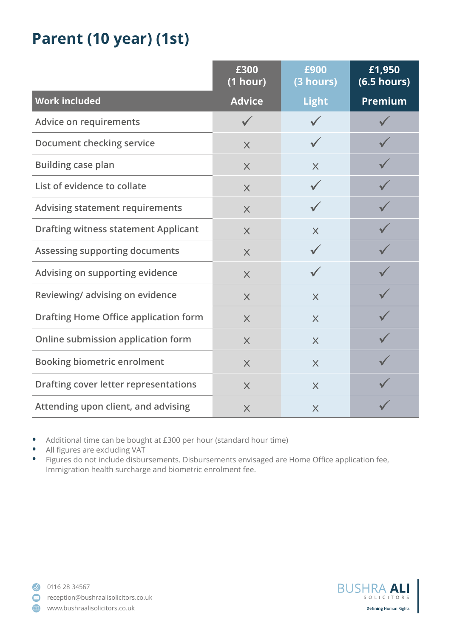## **Parent (10 year) (1st)**

|                                              | £300<br>(1 hour) | £900<br>(3 hours) | £1,950<br>(6.5 hours) |
|----------------------------------------------|------------------|-------------------|-----------------------|
| <b>Work included</b>                         | <b>Advice</b>    | <b>Light</b>      | <b>Premium</b>        |
| Advice on requirements                       | $\sqrt{}$        |                   |                       |
| <b>Document checking service</b>             | $\times$         |                   |                       |
| <b>Building case plan</b>                    | $\times$         | $\times$          |                       |
| List of evidence to collate                  | $\times$         |                   |                       |
| <b>Advising statement requirements</b>       | $\times$         |                   |                       |
| <b>Drafting witness statement Applicant</b>  | $\times$         | $\times$          |                       |
| Assessing supporting documents               | $\times$         |                   |                       |
| Advising on supporting evidence              | $\times$         |                   |                       |
| Reviewing/advising on evidence               | $\times$         | $\times$          |                       |
| <b>Drafting Home Office application form</b> | $\times$         | $\times$          |                       |
| Online submission application form           | $\times$         | $\times$          |                       |
| <b>Booking biometric enrolment</b>           | $\times$         | $\times$          |                       |
| Drafting cover letter representations        | $\times$         | $\times$          |                       |
| Attending upon client, and advising          | $\times$         | $\times$          |                       |

- **•** Additional time can be bought at £300 per hour (standard hour time)
- **•** All figures are excluding VAT

**•** Figures do not include disbursements. Disbursements envisaged are Home Office application fee, Immigration health surcharge and biometric enrolment fee.